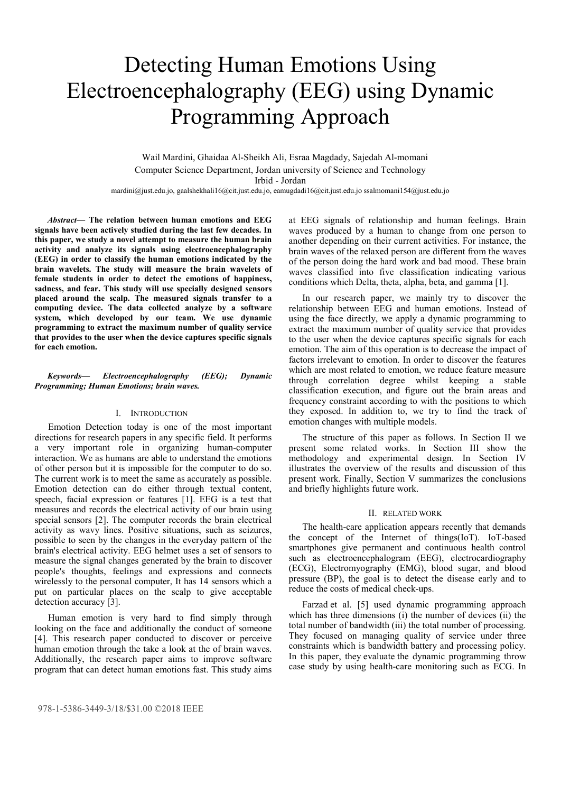# Detecting Human Emotions Using Electroencephalography (EEG) using Dynamic Programming Approach

 Wail Mardini, Ghaidaa Al-Sheikh Ali, Esraa Magdady, Sajedah Al-momani Computer Science Department, Jordan university of Science and Technology Irbid - Jordan

mardini@just.edu.jo, gaalshekhali16@cit.just.edu.jo, eamugdadi16@cit.just.edu.jo ssalmomani154@just.edu.jo

*Abstract***— The relation between human emotions and EEG signals have been actively studied during the last few decades. In this paper, we study a novel attempt to measure the human brain activity and analyze its signals using electroencephalography (EEG) in order to classify the human emotions indicated by the brain wavelets. The study will measure the brain wavelets of female students in order to detect the emotions of happiness, sadness, and fear. This study will use specially designed sensors placed around the scalp. The measured signals transfer to a computing device. The data collected analyze by a software system, which developed by our team. We use dynamic programming to extract the maximum number of quality service that provides to the user when the device captures specific signals for each emotion.** 

# *Keywords— Electroencephalography (EEG); Dynamic Programming; Human Emotions; brain waves.*

### I. INTRODUCTION

Emotion Detection today is one of the most important directions for research papers in any specific field. It performs a very important role in organizing human-computer interaction. We as humans are able to understand the emotions of other person but it is impossible for the computer to do so. The current work is to meet the same as accurately as possible. Emotion detection can do either through textual content, speech, facial expression or features [1]. EEG is a test that measures and records the electrical activity of our brain using special sensors [2]. The computer records the brain electrical activity as wavy lines. Positive situations, such as seizures, possible to seen by the changes in the everyday pattern of the brain's electrical activity. EEG helmet uses a set of sensors to measure the signal changes generated by the brain to discover people's thoughts, feelings and expressions and connects wirelessly to the personal computer, It has 14 sensors which a put on particular places on the scalp to give acceptable detection accuracy [3].

Human emotion is very hard to find simply through looking on the face and additionally the conduct of someone [4]. This research paper conducted to discover or perceive human emotion through the take a look at the of brain waves. Additionally, the research paper aims to improve software program that can detect human emotions fast. This study aims at EEG signals of relationship and human feelings. Brain waves produced by a human to change from one person to another depending on their current activities. For instance, the brain waves of the relaxed person are different from the waves of the person doing the hard work and bad mood. These brain waves classified into five classification indicating various conditions which Delta, theta, alpha, beta, and gamma [1].

In our research paper, we mainly try to discover the relationship between EEG and human emotions. Instead of using the face directly, we apply a dynamic programming to extract the maximum number of quality service that provides to the user when the device captures specific signals for each emotion. The aim of this operation is to decrease the impact of factors irrelevant to emotion. In order to discover the features which are most related to emotion, we reduce feature measure through correlation degree whilst keeping a stable classification execution, and figure out the brain areas and frequency constraint according to with the positions to which they exposed. In addition to, we try to find the track of emotion changes with multiple models.

The structure of this paper as follows. In Section II we present some related works. In Section III show the methodology and experimental design. In Section IV illustrates the overview of the results and discussion of this present work. Finally, Section V summarizes the conclusions and briefly highlights future work.

#### II. RELATED WORK

The health-care application appears recently that demands the concept of the Internet of things(IoT). IoT-based smartphones give permanent and continuous health control such as electroencephalogram (EEG), electrocardiography (ECG), Electromyography (EMG), blood sugar, and blood pressure (BP), the goal is to detect the disease early and to reduce the costs of medical check-ups.

Farzad et al. [5] used dynamic programming approach which has three dimensions (i) the number of devices (ii) the total number of bandwidth (iii) the total number of processing. They focused on managing quality of service under three constraints which is bandwidth battery and processing policy. In this paper, they evaluate the dynamic programming throw case study by using health-care monitoring such as ECG. In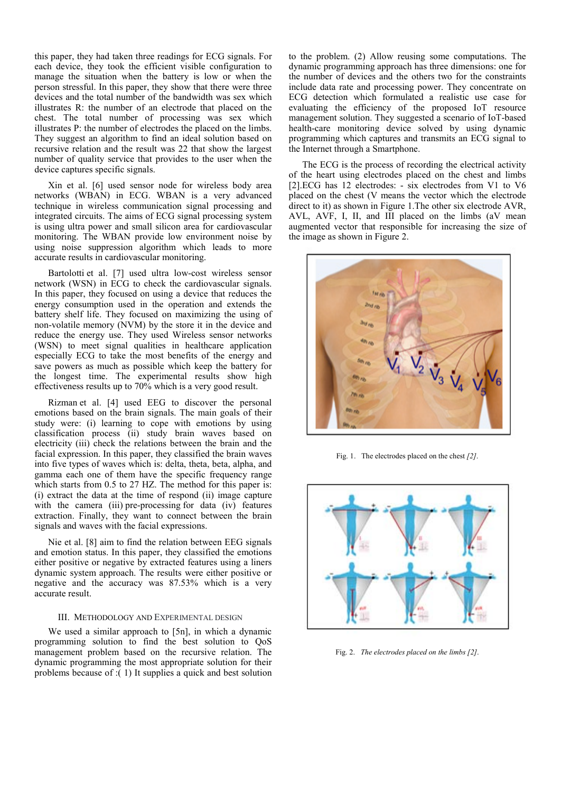this paper, they had taken three readings for ECG signals. For each device, they took the efficient visible configuration to manage the situation when the battery is low or when the person stressful. In this paper, they show that there were three devices and the total number of the bandwidth was sex which illustrates R: the number of an electrode that placed on the chest. The total number of processing was sex which illustrates P: the number of electrodes the placed on the limbs. They suggest an algorithm to find an ideal solution based on recursive relation and the result was 22 that show the largest number of quality service that provides to the user when the device captures specific signals.

Xin et al. [6] used sensor node for wireless body area networks (WBAN) in ECG. WBAN is a very advanced technique in wireless communication signal processing and integrated circuits. The aims of ECG signal processing system is using ultra power and small silicon area for cardiovascular monitoring. The WBAN provide low environment noise by using noise suppression algorithm which leads to more accurate results in cardiovascular monitoring.

Bartolotti et al. [7] used ultra low-cost wireless sensor network (WSN) in ECG to check the cardiovascular signals. In this paper, they focused on using a device that reduces the energy consumption used in the operation and extends the battery shelf life. They focused on maximizing the using of non-volatile memory (NVM) by the store it in the device and reduce the energy use. They used Wireless sensor networks (WSN) to meet signal qualities in healthcare application especially ECG to take the most benefits of the energy and save powers as much as possible which keep the battery for the longest time. The experimental results show high effectiveness results up to 70% which is a very good result.

Rizman et al. [4] used EEG to discover the personal emotions based on the brain signals. The main goals of their study were: (i) learning to cope with emotions by using classification process (ii) study brain waves based on electricity (iii) check the relations between the brain and the facial expression. In this paper, they classified the brain waves into five types of waves which is: delta, theta, beta, alpha, and gamma each one of them have the specific frequency range which starts from 0.5 to 27 HZ. The method for this paper is: (i) extract the data at the time of respond (ii) image capture with the camera (iii) pre-processing for data (iv) features extraction. Finally, they want to connect between the brain signals and waves with the facial expressions.

Nie et al. [8] aim to find the relation between EEG signals and emotion status. In this paper, they classified the emotions either positive or negative by extracted features using a liners dynamic system approach. The results were either positive or negative and the accuracy was 87.53% which is a very accurate result.

#### III. METHODOLOGY AND EXPERIMENTAL DESIGN

We used a similar approach to [5n], in which a dynamic programming solution to find the best solution to QoS management problem based on the recursive relation. The dynamic programming the most appropriate solution for their problems because of :( 1) It supplies a quick and best solution to the problem. (2) Allow reusing some computations. The dynamic programming approach has three dimensions: one for the number of devices and the others two for the constraints include data rate and processing power. They concentrate on ECG detection which formulated a realistic use case for evaluating the efficiency of the proposed IoT resource management solution. They suggested a scenario of IoT-based health-care monitoring device solved by using dynamic programming which captures and transmits an ECG signal to the Internet through a Smartphone.

The ECG is the process of recording the electrical activity of the heart using electrodes placed on the chest and limbs [2].ECG has 12 electrodes: - six electrodes from V1 to V6 placed on the chest (V means the vector which the electrode direct to it) as shown in Figure 1.The other six electrode AVR, AVL, AVF, I, II, and III placed on the limbs (aV mean augmented vector that responsible for increasing the size of the image as shown in Figure 2.



Fig. 1. The electrodes placed on the chest *[2]*.



Fig. 2. *The electrodes placed on the limbs [2]*.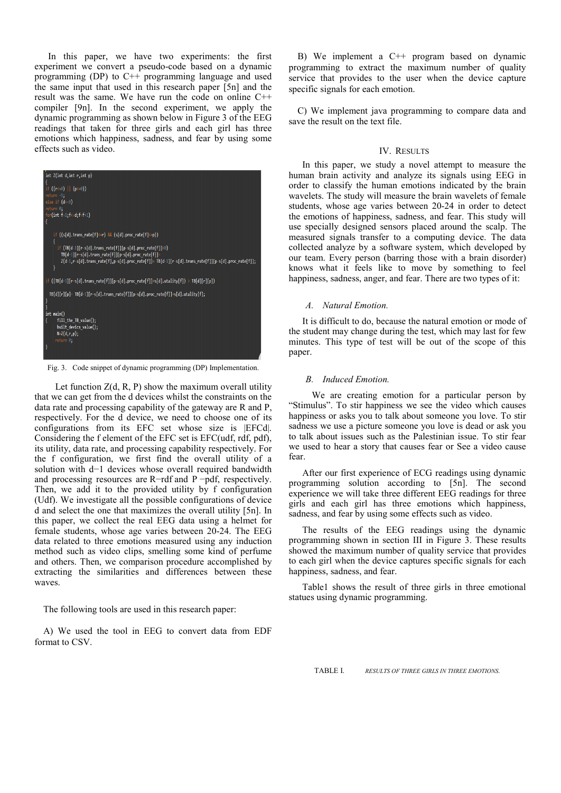In this paper, we have two experiments: the first experiment we convert a pseudo-code based on a dynamic programming (DP) to C++ programming language and used the same input that used in this research paper [5n] and the result was the same. We have run the code on online C++ compiler [9n]. In the second experiment, we apply the dynamic programming as shown below in Figure 3 of the EEG readings that taken for three girls and each girl has three emotions which happiness, sadness, and fear by using some effects such as video.



Fig. 3. Code snippet of dynamic programming (DP) Implementation.

Let function  $Z(d, R, P)$  show the maximum overall utility that we can get from the d devices whilst the constraints on the data rate and processing capability of the gateway are R and P, respectively. For the d device, we need to choose one of its configurations from its EFC set whose size is |EFCd|. Considering the f element of the EFC set is EFC(udf, rdf, pdf), its utility, data rate, and processing capability respectively. For the f configuration, we first find the overall utility of a solution with  $d-1$  devices whose overall required bandwidth and processing resources are  $R$ -rdf and P -pdf, respectively. Then, we add it to the provided utility by f configuration (Udf). We investigate all the possible configurations of device d and select the one that maximizes the overall utility [5n]. In this paper, we collect the real EEG data using a helmet for female students, whose age varies between 20-24. The EEG data related to three emotions measured using any induction method such as video clips, smelling some kind of perfume and others. Then, we comparison procedure accomplished by extracting the similarities and differences between these waves.

The following tools are used in this research paper:

A) We used the tool in EEG to convert data from EDF format to CSV.

B) We implement a C++ program based on dynamic programming to extract the maximum number of quality service that provides to the user when the device capture specific signals for each emotion.

C) We implement java programming to compare data and save the result on the text file.

# IV. RESULTS

In this paper, we study a novel attempt to measure the human brain activity and analyze its signals using EEG in order to classify the human emotions indicated by the brain wavelets. The study will measure the brain wavelets of female students, whose age varies between 20-24 in order to detect the emotions of happiness, sadness, and fear. This study will use specially designed sensors placed around the scalp. The measured signals transfer to a computing device. The data collected analyze by a software system, which developed by our team. Every person (barring those with a brain disorder) knows what it feels like to move by something to feel happiness, sadness, anger, and fear. There are two types of it:

#### *A. Natural Emotion.*

It is difficult to do, because the natural emotion or mode of the student may change during the test, which may last for few minutes. This type of test will be out of the scope of this paper.

#### *B. Induced Emotion.*

 We are creating emotion for a particular person by "Stimulus". To stir happiness we see the video which causes happiness or asks you to talk about someone you love. To stir sadness we use a picture someone you love is dead or ask you to talk about issues such as the Palestinian issue. To stir fear we used to hear a story that causes fear or See a video cause fear.

After our first experience of ECG readings using dynamic programming solution according to [5n]. The second experience we will take three different EEG readings for three girls and each girl has three emotions which happiness, sadness, and fear by using some effects such as video.

The results of the EEG readings using the dynamic programming shown in section III in Figure 3. These results showed the maximum number of quality service that provides to each girl when the device captures specific signals for each happiness, sadness, and fear.

Table1 shows the result of three girls in three emotional statues using dynamic programming.

TABLE I. *RESULTS OF THREE GIRLS IN THREE EMOTIONS.*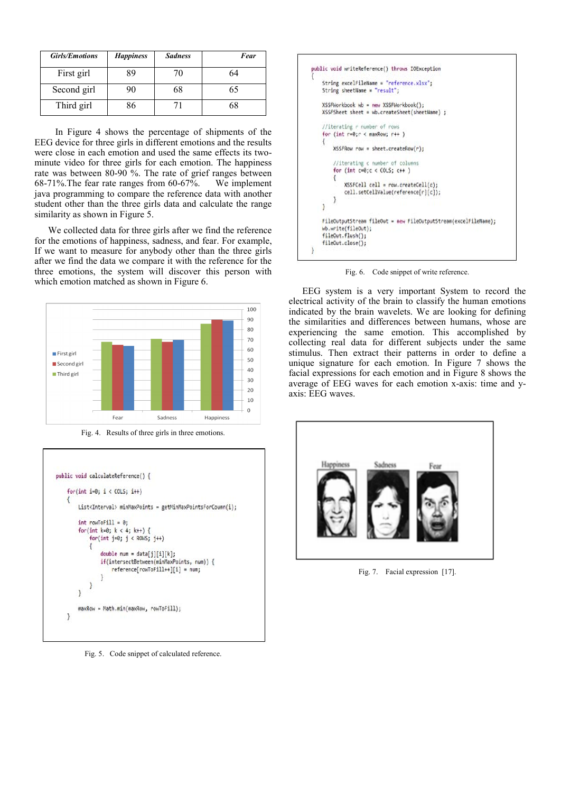| <b>Girls/Emotions</b> | <b>Happiness</b> | <b>Sadness</b> | Fear |
|-----------------------|------------------|----------------|------|
| First girl            | 89               | 70             | 64   |
| Second girl           | 90               | 68             | 65   |
| Third girl            | 36               |                | 58   |

 In Figure 4 shows the percentage of shipments of the EEG device for three girls in different emotions and the results were close in each emotion and used the same effects its twominute video for three girls for each emotion. The happiness rate was between 80-90 %. The rate of grief ranges between 68-71%.The fear rate ranges from 60-67%. We implement java programming to compare the reference data with another student other than the three girls data and calculate the range similarity as shown in Figure 5.

We collected data for three girls after we find the reference for the emotions of happiness, sadness, and fear. For example, If we want to measure for anybody other than the three girls after we find the data we compare it with the reference for the three emotions, the system will discover this person with which emotion matched as shown in Figure 6.



Fig. 4. Results of three girls in three emotions.



Fig. 5. Code snippet of calculated reference.



Fig. 6. Code snippet of write reference.

EEG system is a very important System to record the electrical activity of the brain to classify the human emotions indicated by the brain wavelets. We are looking for defining the similarities and differences between humans, whose are experiencing the same emotion. This accomplished by collecting real data for different subjects under the same stimulus. Then extract their patterns in order to define a unique signature for each emotion. In Figure 7 shows the facial expressions for each emotion and in Figure 8 shows the average of EEG waves for each emotion x-axis: time and yaxis: EEG waves.



Fig. 7. Facial expression [17].